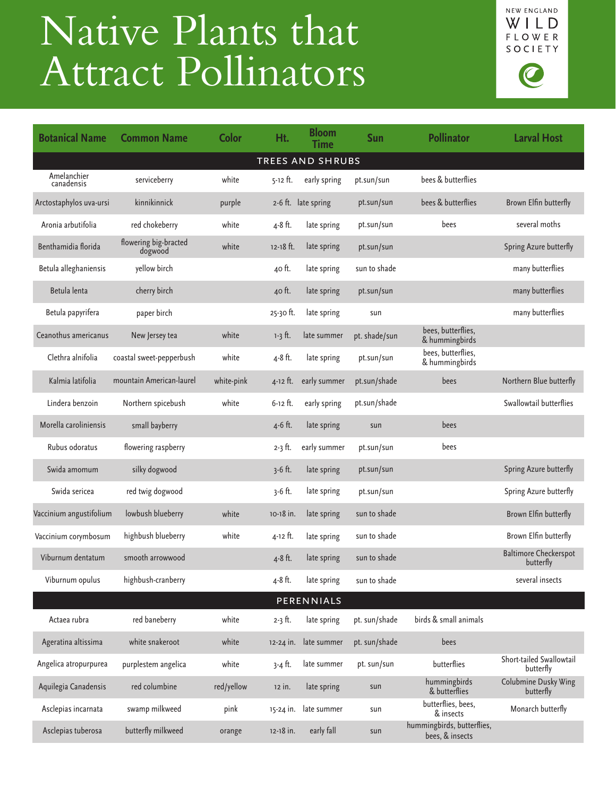## Native Plants that Attract Pollinators



| <b>Botanical Name</b>     | <b>Common Name</b>               | <b>Color</b> | Ht.          | <b>Bloom</b><br><b>Time</b> | <b>Sun</b>    | <b>Pollinator</b>                             | <b>Larval Host</b>                        |  |  |  |  |  |
|---------------------------|----------------------------------|--------------|--------------|-----------------------------|---------------|-----------------------------------------------|-------------------------------------------|--|--|--|--|--|
| <b>TREES AND SHRUBS</b>   |                                  |              |              |                             |               |                                               |                                           |  |  |  |  |  |
| Amelanchier<br>canadensis | serviceberry                     | white        | 5-12 ft.     | early spring                | pt.sun/sun    | bees & butterflies                            |                                           |  |  |  |  |  |
| Arctostaphylos uva-ursi   | kinnikinnick                     | purple       |              | 2-6 ft. late spring         | pt.sun/sun    | bees & butterflies                            | Brown Elfin butterfly                     |  |  |  |  |  |
| Aronia arbutifolia        | red chokeberry                   | white        | 4-8 ft.      | late spring                 | pt.sun/sun    | bees                                          | several moths                             |  |  |  |  |  |
| Benthamidia florida       | flowering big-bracted<br>dogwood | white        | 12-18 ft.    | late spring                 | pt.sun/sun    |                                               | Spring Azure butterfly                    |  |  |  |  |  |
| Betula alleghaniensis     | yellow birch                     |              | 40 ft.       | late spring                 | sun to shade  |                                               | many butterflies                          |  |  |  |  |  |
| Betula lenta              | cherry birch                     |              | 40 ft.       | late spring                 | pt.sun/sun    |                                               | many butterflies                          |  |  |  |  |  |
| Betula papyrifera         | paper birch                      |              | 25-30 ft.    | late spring                 | sun           |                                               | many butterflies                          |  |  |  |  |  |
| Ceanothus americanus      | New Jersey tea                   | white        | $1-3$ ft.    | late summer                 | pt. shade/sun | bees, butterflies,<br>& hummingbirds          |                                           |  |  |  |  |  |
| Clethra alnifolia         | coastal sweet-pepperbush         | white        | 4-8 ft.      | late spring                 | pt.sun/sun    | bees, butterflies,<br>& hummingbirds          |                                           |  |  |  |  |  |
| Kalmia latifolia          | mountain American-laurel         | white-pink   | $4 - 12$ ft. | early summer                | pt.sun/shade  | bees                                          | Northern Blue butterfly                   |  |  |  |  |  |
| Lindera benzoin           | Northern spicebush               | white        | $6 - 12$ ft. | early spring                | pt.sun/shade  |                                               | Swallowtail butterflies                   |  |  |  |  |  |
| Morella caroliniensis     | small bayberry                   |              | 4-6 ft.      | late spring                 | sun           | bees                                          |                                           |  |  |  |  |  |
| Rubus odoratus            | flowering raspberry              |              | $2 - 3$ ft.  | early summer                | pt.sun/sun    | bees                                          |                                           |  |  |  |  |  |
| Swida amomum              | silky dogwood                    |              | $3-6$ ft.    | late spring                 | pt.sun/sun    |                                               | Spring Azure butterfly                    |  |  |  |  |  |
| Swida sericea             | red twig dogwood                 |              | $3-6$ ft.    | late spring                 | pt.sun/sun    |                                               | Spring Azure butterfly                    |  |  |  |  |  |
| Vaccinium angustifolium   | lowbush blueberry                | white        | 10-18 in.    | late spring                 | sun to shade  |                                               | Brown Elfin butterfly                     |  |  |  |  |  |
| Vaccinium corymbosum      | highbush blueberry               | white        | 4-12 ft.     | late spring                 | sun to shade  |                                               | Brown Elfin butterfly                     |  |  |  |  |  |
| Viburnum dentatum         | smooth arrowwood                 |              | 4-8 ft.      | late spring                 | sun to shade  |                                               | <b>Baltimore Checkerspot</b><br>butterfly |  |  |  |  |  |
| Viburnum opulus           | highbush-cranberry               |              | 4-8 ft.      | late spring                 | sun to shade  |                                               | several insects                           |  |  |  |  |  |
| PERENNIALS                |                                  |              |              |                             |               |                                               |                                           |  |  |  |  |  |
| Actaea rubra              | red baneberry                    | white        | $2-3$ ft.    | late spring                 | pt. sun/shade | birds & small animals                         |                                           |  |  |  |  |  |
| Ageratina altissima       | white snakeroot                  | white        | 12-24 in.    | late summer                 | pt. sun/shade | bees                                          |                                           |  |  |  |  |  |
| Angelica atropurpurea     | purplestem angelica              | white        | 3-4 ft.      | late summer                 | pt. sun/sun   | butterflies                                   | Short-tailed Swallowtail<br>butterfly     |  |  |  |  |  |
| Aquilegia Canadensis      | red columbine                    | red/yellow   | 12 in.       | late spring                 | sun           | hummingbirds<br>& butterflies                 | Colubmine Dusky Wing<br>butterfly         |  |  |  |  |  |
| Asclepias incarnata       | swamp milkweed                   | pink         | 15-24 in.    | late summer                 | sun           | butterflies, bees,<br>& insects               | Monarch butterfly                         |  |  |  |  |  |
| Asclepias tuberosa        | butterfly milkweed               | orange       | 12-18 in.    | early fall                  | sun           | hummingbirds, butterflies,<br>bees, & insects |                                           |  |  |  |  |  |